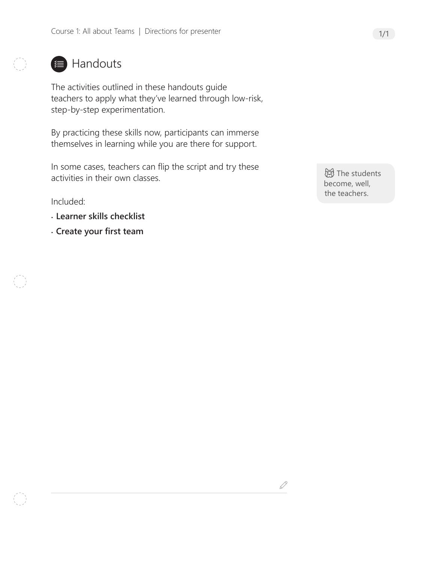

## **■ Handouts**

The activities outlined in these handouts guide teachers to apply what they've learned through low-risk, step-by-step experimentation.

By practicing these skills now, participants can immerse themselves in learning while you are there for support.

In some cases, teachers can flip the script and try these activities in their own classes.

Included:

- **Learner skills checklist**
- **Create your first team**

**词**The students become, well, the teachers.

 $\mathscr{Q}$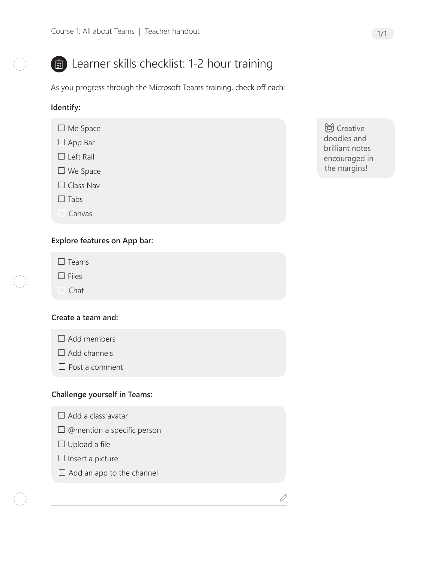

# **a**) Learner skills checklist: 1-2 hour training

As you progress through the Microsoft Teams training, check off each:

### **Identify:**

- □ Me Space
- $\Box$  App Bar
- $\square$  Left Rail
- We Space
- $\Box$  Class Nav
- $\Box$  Tabs
- $\Box$  Canvas

### **Explore features on App bar:**

- $\square$  Teams
- $\Box$  Files
- $\Box$  Chat

#### **Create a team and:**

- $\Box$  Add members
- $\Box$  Add channels
- $\Box$  Post a comment

#### **Challenge yourself in Teams:**

- $\Box$  Add a class avatar
- $\square$  @mention a specific person
- $\Box$  Upload a file
- $\Box$  Insert a picture
- $\Box$  Add an app to the channel

**总** Creative doodles and brilliant notes encouraged in the margins!

 $\mathcal{S}% _{M_{1},M_{2}}^{\prime}(\theta)$